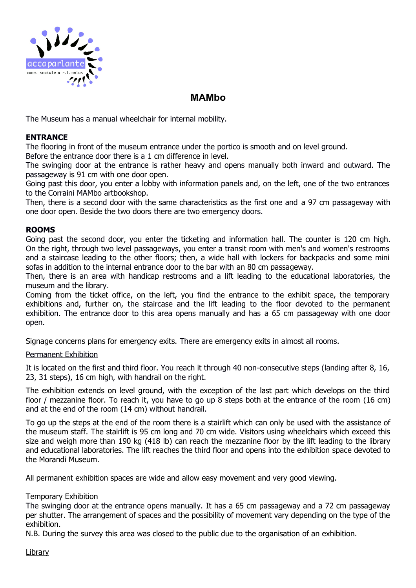

# **MAMbo**

The Museum has a manual wheelchair for internal mobility.

## **ENTRANCE**

The flooring in front of the museum entrance under the portico is smooth and on level ground.

Before the entrance door there is a 1 cm difference in level.

The swinging door at the entrance is rather heavy and opens manually both inward and outward. The passageway is 91 cm with one door open.

Going past this door, you enter a lobby with information panels and, on the left, one of the two entrances to the Corraini MAMbo artbookshop.

Then, there is a second door with the same characteristics as the first one and a 97 cm passageway with one door open. Beside the two doors there are two emergency doors.

## **ROOMS**

Going past the second door, you enter the ticketing and information hall. The counter is 120 cm high. On the right, through two level passageways, you enter a transit room with men's and women's restrooms and a staircase leading to the other floors; then, a wide hall with lockers for backpacks and some mini sofas in addition to the internal entrance door to the bar with an 80 cm passageway.

Then, there is an area with handicap restrooms and a lift leading to the educational laboratories, the museum and the library.

Coming from the ticket office, on the left, you find the entrance to the exhibit space, the temporary exhibitions and, further on, the staircase and the lift leading to the floor devoted to the permanent exhibition. The entrance door to this area opens manually and has a 65 cm passageway with one door open.

Signage concerns plans for emergency exits. There are emergency exits in almost all rooms.

#### Permanent Exhibition

It is located on the first and third floor. You reach it through 40 non-consecutive steps (landing after 8, 16, 23, 31 steps), 16 cm high, with handrail on the right.

The exhibition extends on level ground, with the exception of the last part which develops on the third floor / mezzanine floor. To reach it, you have to go up 8 steps both at the entrance of the room (16 cm) and at the end of the room (14 cm) without handrail.

To go up the steps at the end of the room there is a stairlift which can only be used with the assistance of the museum staff. The stairlift is 95 cm long and 70 cm wide. Visitors using wheelchairs which exceed this size and weigh more than 190 kg (418 lb) can reach the mezzanine floor by the lift leading to the library and educational laboratories. The lift reaches the third floor and opens into the exhibition space devoted to the Morandi Museum.

All permanent exhibition spaces are wide and allow easy movement and very good viewing.

# Temporary Exhibition

The swinging door at the entrance opens manually. It has a 65 cm passageway and a 72 cm passageway per shutter. The arrangement of spaces and the possibility of movement vary depending on the type of the exhibition.

N.B. During the survey this area was closed to the public due to the organisation of an exhibition.

**Library**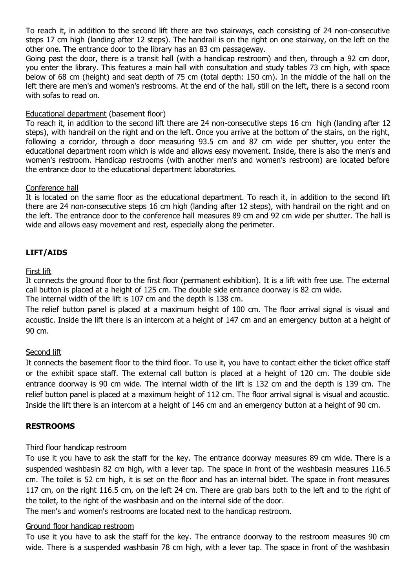To reach it, in addition to the second lift there are two stairways, each consisting of 24 non-consecutive steps 17 cm high (landing after 12 steps). The handrail is on the right on one stairway, on the left on the other one. The entrance door to the library has an 83 cm passageway.

Going past the door, there is a transit hall (with a handicap restroom) and then, through a 92 cm door, you enter the library. This features a main hall with consultation and study tables 73 cm high, with space below of 68 cm (height) and seat depth of 75 cm (total depth: 150 cm). In the middle of the hall on the left there are men's and women's restrooms. At the end of the hall, still on the left, there is a second room with sofas to read on.

# Educational department (basement floor)

To reach it, in addition to the second lift there are 24 non-consecutive steps 16 cm high (landing after 12 steps), with handrail on the right and on the left. Once you arrive at the bottom of the stairs, on the right, following a corridor, through a door measuring 93.5 cm and 87 cm wide per shutter, you enter the educational department room which is wide and allows easy movement. Inside, there is also the men's and women's restroom. Handicap restrooms (with another men's and women's restroom) are located before the entrance door to the educational department laboratories.

## Conference hall

It is located on the same floor as the educational department. To reach it, in addition to the second lift there are 24 non-consecutive steps 16 cm high (landing after 12 steps), with handrail on the right and on the left. The entrance door to the conference hall measures 89 cm and 92 cm wide per shutter. The hall is wide and allows easy movement and rest, especially along the perimeter.

# **LIFT/AIDS**

## First lift

It connects the ground floor to the first floor (permanent exhibition). It is a lift with free use. The external call button is placed at a height of 125 cm. The double side entrance doorway is 82 cm wide.

The internal width of the lift is 107 cm and the depth is 138 cm.

The relief button panel is placed at a maximum height of 100 cm. The floor arrival signal is visual and acoustic. Inside the lift there is an intercom at a height of 147 cm and an emergency button at a height of 90 cm.

#### Second lift

It connects the basement floor to the third floor. To use it, you have to contact either the ticket office staff or the exhibit space staff. The external call button is placed at a height of 120 cm. The double side entrance doorway is 90 cm wide. The internal width of the lift is 132 cm and the depth is 139 cm. The relief button panel is placed at a maximum height of 112 cm. The floor arrival signal is visual and acoustic. Inside the lift there is an intercom at a height of 146 cm and an emergency button at a height of 90 cm.

# **RESTROOMS**

#### Third floor handicap restroom

To use it you have to ask the staff for the key. The entrance doorway measures 89 cm wide. There is a suspended washbasin 82 cm high, with a lever tap. The space in front of the washbasin measures 116.5 cm. The toilet is 52 cm high, it is set on the floor and has an internal bidet. The space in front measures 117 cm, on the right 116.5 cm, on the left 24 cm. There are grab bars both to the left and to the right of the toilet, to the right of the washbasin and on the internal side of the door.

The men's and women's restrooms are located next to the handicap restroom.

# Ground floor handicap restroom

To use it you have to ask the staff for the key. The entrance doorway to the restroom measures 90 cm wide. There is a suspended washbasin 78 cm high, with a lever tap. The space in front of the washbasin